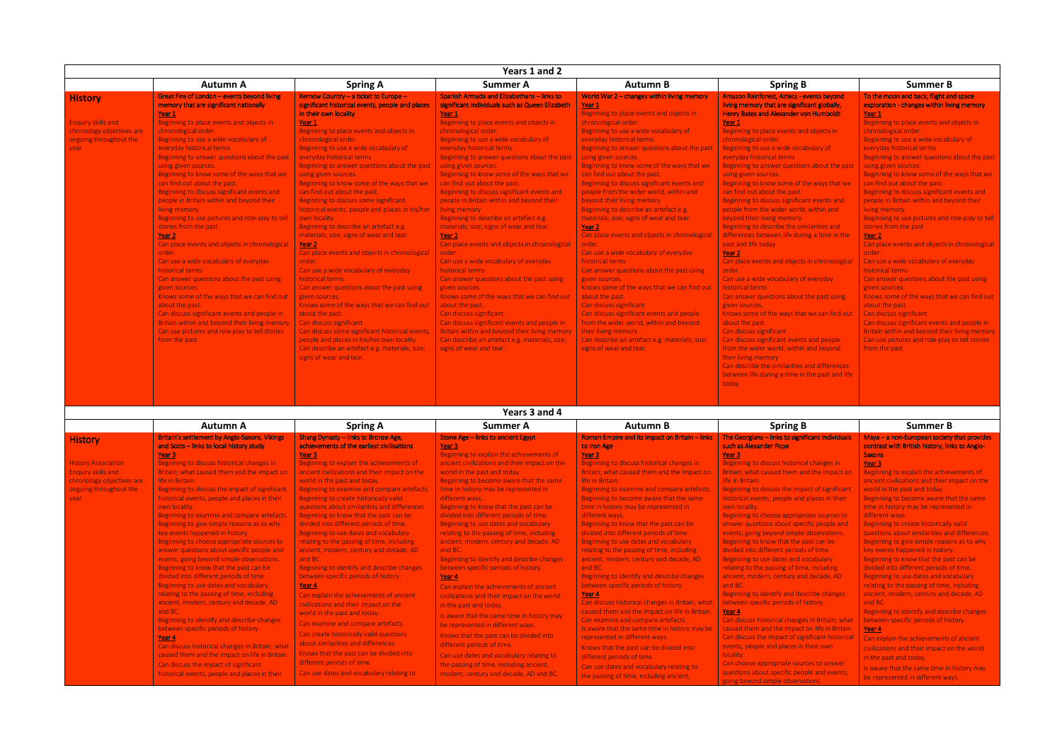|                                                                                                                                    |                                                                                                                                                                                                                                                                                                                                                                                                                                                                                                                                                                                                                                                                                                                                                                                                                                                                                                                                                                                                                                                                                                                                                           |                                                                                                                                                                                                                                                                                                                                                                                                                                                                                                                                                                                                                                                                                                                                                                                                                                                                                                                                                                                                                                                                               | Years 1 and 2                                                                                                                                                                                                                                                                                                                                                                                                                                                                                                                                                                                                                                                                                                                                                                                                                                                                                                                                                                                                                              |                                                                                                                                                                                                                                                                                                                                                                                                                                                                                                                                                                                                                                                                                                                                                                                                                                                                                                                                                                                                                                                                                |                                                                                                                                                                                                                                                                                                                                                                                                                                                                                                                                                                                                                                                                                                                                                                                                                                                                                                                                                                                                                                                                                                                                                             |                                                                                                                                                                                                                                                                                                                                                                                                                                                                                                                                                                                                                                                                                                                                                                                                                                                                                                                                                                                                                                                                                            |
|------------------------------------------------------------------------------------------------------------------------------------|-----------------------------------------------------------------------------------------------------------------------------------------------------------------------------------------------------------------------------------------------------------------------------------------------------------------------------------------------------------------------------------------------------------------------------------------------------------------------------------------------------------------------------------------------------------------------------------------------------------------------------------------------------------------------------------------------------------------------------------------------------------------------------------------------------------------------------------------------------------------------------------------------------------------------------------------------------------------------------------------------------------------------------------------------------------------------------------------------------------------------------------------------------------|-------------------------------------------------------------------------------------------------------------------------------------------------------------------------------------------------------------------------------------------------------------------------------------------------------------------------------------------------------------------------------------------------------------------------------------------------------------------------------------------------------------------------------------------------------------------------------------------------------------------------------------------------------------------------------------------------------------------------------------------------------------------------------------------------------------------------------------------------------------------------------------------------------------------------------------------------------------------------------------------------------------------------------------------------------------------------------|--------------------------------------------------------------------------------------------------------------------------------------------------------------------------------------------------------------------------------------------------------------------------------------------------------------------------------------------------------------------------------------------------------------------------------------------------------------------------------------------------------------------------------------------------------------------------------------------------------------------------------------------------------------------------------------------------------------------------------------------------------------------------------------------------------------------------------------------------------------------------------------------------------------------------------------------------------------------------------------------------------------------------------------------|--------------------------------------------------------------------------------------------------------------------------------------------------------------------------------------------------------------------------------------------------------------------------------------------------------------------------------------------------------------------------------------------------------------------------------------------------------------------------------------------------------------------------------------------------------------------------------------------------------------------------------------------------------------------------------------------------------------------------------------------------------------------------------------------------------------------------------------------------------------------------------------------------------------------------------------------------------------------------------------------------------------------------------------------------------------------------------|-------------------------------------------------------------------------------------------------------------------------------------------------------------------------------------------------------------------------------------------------------------------------------------------------------------------------------------------------------------------------------------------------------------------------------------------------------------------------------------------------------------------------------------------------------------------------------------------------------------------------------------------------------------------------------------------------------------------------------------------------------------------------------------------------------------------------------------------------------------------------------------------------------------------------------------------------------------------------------------------------------------------------------------------------------------------------------------------------------------------------------------------------------------|--------------------------------------------------------------------------------------------------------------------------------------------------------------------------------------------------------------------------------------------------------------------------------------------------------------------------------------------------------------------------------------------------------------------------------------------------------------------------------------------------------------------------------------------------------------------------------------------------------------------------------------------------------------------------------------------------------------------------------------------------------------------------------------------------------------------------------------------------------------------------------------------------------------------------------------------------------------------------------------------------------------------------------------------------------------------------------------------|
|                                                                                                                                    | <b>Autumn A</b>                                                                                                                                                                                                                                                                                                                                                                                                                                                                                                                                                                                                                                                                                                                                                                                                                                                                                                                                                                                                                                                                                                                                           | <b>Spring A</b>                                                                                                                                                                                                                                                                                                                                                                                                                                                                                                                                                                                                                                                                                                                                                                                                                                                                                                                                                                                                                                                               | <b>Summer A</b>                                                                                                                                                                                                                                                                                                                                                                                                                                                                                                                                                                                                                                                                                                                                                                                                                                                                                                                                                                                                                            | <b>Autumn B</b>                                                                                                                                                                                                                                                                                                                                                                                                                                                                                                                                                                                                                                                                                                                                                                                                                                                                                                                                                                                                                                                                | <b>Spring B</b>                                                                                                                                                                                                                                                                                                                                                                                                                                                                                                                                                                                                                                                                                                                                                                                                                                                                                                                                                                                                                                                                                                                                             | <b>Summer B</b>                                                                                                                                                                                                                                                                                                                                                                                                                                                                                                                                                                                                                                                                                                                                                                                                                                                                                                                                                                                                                                                                            |
| <b>History</b><br><b>Enquiry skills and</b><br>chronology objectives are<br>ongoing throughout the<br>year.                        | Great Fire of London - events beyond living<br>memory that are significant nationally<br>Year 1<br>Beginning to place events and objects in<br>chronological order.<br><b>Beginning to use a wide vocabulary of</b><br>everyday historical terms<br>Beginning to answer questions about the past<br>using given sources.                                                                                                                                                                                                                                                                                                                                                                                                                                                                                                                                                                                                                                                                                                                                                                                                                                  | Kernow Country $-$ a ticket to Europe $-$<br>significant historical events, people and places<br>in their own locality<br>Year 1<br>Beginning to place events and objects in<br>chronological order.<br>Beginning to use a wide vocabulary of<br>everyday historical terms<br>Beginning to answer questions about the past                                                                                                                                                                                                                                                                                                                                                                                                                                                                                                                                                                                                                                                                                                                                                    | Spanish Armada and Elizabethans - links to<br>significant individuals such as Queen Elizabeth<br>Year 1<br>Beginning to place events and objects in<br>chronological order.<br>Beginning to use a wide vocabulary of<br>everyday historical terms<br>Beginning to answer questions about the past<br>using given sources.                                                                                                                                                                                                                                                                                                                                                                                                                                                                                                                                                                                                                                                                                                                  | World War 2 - changes within living memory<br>Year 1<br>Beginning to place events and objects in<br>chronological order.<br>Beginning to use a wide vocabulary of<br>everyday historical terms<br>Beginning to answer questions about the past<br>using given sources.<br>Beginning to know some of the ways that we                                                                                                                                                                                                                                                                                                                                                                                                                                                                                                                                                                                                                                                                                                                                                           | Amazon Rainforest, Aztecs - events beyond<br>living memory that are significant globally,<br>Henry Bates and Alexander von Humboldt<br>Year 1<br>Beginning to place events and objects in<br>chronological order.<br>Beginning to use a wide vocabulary of<br>everyday historical terms<br>Beginning to answer questions about the past                                                                                                                                                                                                                                                                                                                                                                                                                                                                                                                                                                                                                                                                                                                                                                                                                     | To the moon and back, flight and space<br>exploration - changes within living memory<br>Year 1<br>Beginning to place events and objects in<br>chronological order.<br>Beginning to use a wide vocabulary of<br>everyday historical terms<br>Beginning to answer questions about the past<br>using given sources.                                                                                                                                                                                                                                                                                                                                                                                                                                                                                                                                                                                                                                                                                                                                                                           |
|                                                                                                                                    | Beginning to know some of the ways that we<br>can find out about the past.<br>Beginning to discuss significant events and<br>people in Britain within and beyond their<br>living memory<br>Beginning to use pictures and role-play to tell<br>stories from the past<br>Year 2<br>Can place events and objects in chronological<br>order.<br>Can use a wide vocabulary of everyday                                                                                                                                                                                                                                                                                                                                                                                                                                                                                                                                                                                                                                                                                                                                                                         | using given sources.<br>Beginning to know some of the ways that we<br>can find out about the past.<br>Beginning to discuss some significant<br>historical events, people and places in his/her<br>own locality<br>Beginning to describe an artefact e.g.<br>materials; size; signs of wear and tear.<br>Year 2<br>Can place events and objects in chronological<br>order.                                                                                                                                                                                                                                                                                                                                                                                                                                                                                                                                                                                                                                                                                                     | Beginning to know some of the ways that we<br>can find out about the past.<br>Beginning to discuss significant events and<br>people in Britain within and beyond their<br>living memory<br>Beginning to describe an artefact e.g.<br>materials; size; signs of wear and tear.<br>Year 2<br>Can place events and objects in chronological<br>order.<br>Can use a wide vocabulary of everyday                                                                                                                                                                                                                                                                                                                                                                                                                                                                                                                                                                                                                                                | can find out about the past.<br>Beginning to discuss significant events and<br>people from the wider world, within and<br>beyond their living memory<br>Beginning to describe an artefact e.g.<br>materials; size; signs of wear and tear.<br>Year 2<br>Can place events and objects in chronological<br>$\parallel$ order.<br>Can use a wide vocabulary of everyday<br>historical terms                                                                                                                                                                                                                                                                                                                                                                                                                                                                                                                                                                                                                                                                                       | using given sources.<br>Beginning to know some of the ways that we<br>can find out about the past.<br>Beginning to discuss significant events and<br>people from the wider world, within and<br>beyond their living memory<br>Beginning to describe the similarities and<br>differences between life during a time in the<br>past and life today<br>Year 2<br>Can place events and objects in chronological                                                                                                                                                                                                                                                                                                                                                                                                                                                                                                                                                                                                                                                                                                                                                 | Beginning to know some of the ways that we<br>can find out about the past.<br>Beginning to discuss significant events and<br>people in Britain within and beyond their<br>living memory<br>Beginning to use pictures and role-play to tell<br>stories from the past<br>Year 2<br>Can place events and objects in chronological<br>order.<br>Can use a wide vocabulary of everyday                                                                                                                                                                                                                                                                                                                                                                                                                                                                                                                                                                                                                                                                                                          |
|                                                                                                                                    | historical terms<br>Can answer questions about the past using<br>given sources.<br>Knows some of the ways that we can find out<br>about the past.<br>Can discuss significant events and people in<br>Britain within and beyond their living memory<br>Can use pictures and role-play to tell stories<br>from the past                                                                                                                                                                                                                                                                                                                                                                                                                                                                                                                                                                                                                                                                                                                                                                                                                                     | Can use a wide vocabulary of everyday<br>historical terms<br>Can answer questions about the past using<br>given sources.<br>Knows some of the ways that we can find out<br>about the past.<br>Can discuss significant<br>Can discuss some significant historical events,<br>people and places in his/her own locality<br>Can describe an artefact e.g. materials; size;<br>signs of wear and tear.                                                                                                                                                                                                                                                                                                                                                                                                                                                                                                                                                                                                                                                                            | historical terms<br>Can answer questions about the past using<br>given sources.<br>Knows some of the ways that we can find out<br>about the past.<br>Can discuss significant<br>Can discuss significant events and people in<br>Britain within and beyond their living memory<br>Can describe an artefact e.g. materials; size;<br>signs of wear and tear.                                                                                                                                                                                                                                                                                                                                                                                                                                                                                                                                                                                                                                                                                 | Can answer questions about the past using<br>given sources.<br>Knows some of the ways that we can find out<br>about the past.<br>Can discuss significant<br>Can discuss significant events and people<br>from the wider world, within and beyond<br>their living memory<br>Can describe an artefact e.g. materials; size;<br>signs of wear and tear.                                                                                                                                                                                                                                                                                                                                                                                                                                                                                                                                                                                                                                                                                                                           | order.<br>Can use a wide vocabulary of everyday<br>historical terms<br>Can answer questions about the past using<br>given sources.<br>Knows some of the ways that we can find out<br>about the past.<br>Can discuss significant<br>Can discuss significant events and people<br>from the wider world, within and beyond<br>their living memory<br>Can describe the similarities and differences<br>between life during a time in the past and life<br>today                                                                                                                                                                                                                                                                                                                                                                                                                                                                                                                                                                                                                                                                                                 | historical terms<br>Can answer questions about the past using<br>given sources.<br>Knows some of the ways that we can find out<br>about the past.<br>Can discuss significant<br>Can discuss significant events and people in<br>Britain within and beyond their living memory<br>Can use pictures and role-play to tell stories<br>from the past                                                                                                                                                                                                                                                                                                                                                                                                                                                                                                                                                                                                                                                                                                                                           |
|                                                                                                                                    |                                                                                                                                                                                                                                                                                                                                                                                                                                                                                                                                                                                                                                                                                                                                                                                                                                                                                                                                                                                                                                                                                                                                                           |                                                                                                                                                                                                                                                                                                                                                                                                                                                                                                                                                                                                                                                                                                                                                                                                                                                                                                                                                                                                                                                                               | Years 3 and 4                                                                                                                                                                                                                                                                                                                                                                                                                                                                                                                                                                                                                                                                                                                                                                                                                                                                                                                                                                                                                              |                                                                                                                                                                                                                                                                                                                                                                                                                                                                                                                                                                                                                                                                                                                                                                                                                                                                                                                                                                                                                                                                                |                                                                                                                                                                                                                                                                                                                                                                                                                                                                                                                                                                                                                                                                                                                                                                                                                                                                                                                                                                                                                                                                                                                                                             |                                                                                                                                                                                                                                                                                                                                                                                                                                                                                                                                                                                                                                                                                                                                                                                                                                                                                                                                                                                                                                                                                            |
|                                                                                                                                    | <b>Autumn A</b>                                                                                                                                                                                                                                                                                                                                                                                                                                                                                                                                                                                                                                                                                                                                                                                                                                                                                                                                                                                                                                                                                                                                           | <b>Spring A</b>                                                                                                                                                                                                                                                                                                                                                                                                                                                                                                                                                                                                                                                                                                                                                                                                                                                                                                                                                                                                                                                               | <b>Summer A</b>                                                                                                                                                                                                                                                                                                                                                                                                                                                                                                                                                                                                                                                                                                                                                                                                                                                                                                                                                                                                                            | <b>Autumn B</b>                                                                                                                                                                                                                                                                                                                                                                                                                                                                                                                                                                                                                                                                                                                                                                                                                                                                                                                                                                                                                                                                | <b>Spring B</b>                                                                                                                                                                                                                                                                                                                                                                                                                                                                                                                                                                                                                                                                                                                                                                                                                                                                                                                                                                                                                                                                                                                                             | <b>Summer B</b>                                                                                                                                                                                                                                                                                                                                                                                                                                                                                                                                                                                                                                                                                                                                                                                                                                                                                                                                                                                                                                                                            |
| <b>History</b><br>History Association<br><b>Enquiry skills and</b><br>chronology objectives are<br>ongoing throughout the<br>year. | Britain's settlement by Anglo-Saxons, Vikings<br>and Scots - links to local history study<br>Year 3<br>Beginning to discuss historical changes in<br>Britain; what caused them and the impact on<br>life in Britain.<br>Beginning to discuss the impact of significant<br>historical events, people and places in their<br>own locality.<br>Beginning to examine and compare artefacts.<br>Beginning to give simple reasons as to why<br>key events happened in history.<br>Beginning to choose appropriate sources to<br>answer questions about specific people and<br>events; going beyond simple observations.<br>Beginning to know that the past can be<br>divided into different periods of time.<br><b>Beginning to use dates and vocabulary</b><br>relating to the passing of time, including<br>ancient, modern, century and decade, AD<br>and BC.<br>Beginning to identify and describe changes<br>between specific periods of history.<br>Year 4<br>Can discuss historical changes in Britain; what<br>caused them and the impact on life in Britain.<br>Can discuss the impact of significant<br>historical events, people and places in their | Shang Dynasty - links to Bronze Age.<br>achievements of the earliest civilisations<br>Year 3<br>Beginning to explain the achievements of<br>ancient civilizations and their impact on the<br>world in the past and today.<br>Beginning to examine and compare artefacts.<br>Beginning to create historically valid<br>questions about similarities and differences.<br>Beginning to know that the past can be<br>divided into different periods of time.<br><b>Beginning to use dates and vocabulary</b><br>relating to the passing of time, including<br>ancient, modern, century and decade, AD<br>and BC.<br>Beginning to identify and describe changes<br>between specific periods of history.<br>Year 4<br>Can explain the achievements of ancient<br>civilizations and their impact on the<br>world in the past and today.<br>Can examine and compare artefacts.<br>Can create historically valid questions<br>about similarities and differences.<br>Knows that the past can be divided into<br>different periods of time.<br>Can use dates and vocabulary relating to | Stone Age - links to ancient Egypt<br>Year 3<br>Beginning to explain the achievements of<br>ancient civilizations and their impact on the<br>world in the past and today.<br>Beginning to become aware that the same<br>time in history may be represented in<br>different ways.<br>Beginning to know that the past can be<br>divided into different periods of time.<br><b>Beginning to use dates and vocabulary</b><br>relating to the passing of time, including<br>ancient, modern, century and decade, AD<br>and BC.<br>Beginning to identify and describe changes<br>between specific periods of history.<br>Year 4<br>Can explain the achievements of ancient<br>civilizations and their impact on the world<br>in the past and today.<br>Is aware that the same time in history may<br>be represented in different ways.<br>Knows that the past can be divided into<br>different periods of time.<br>Can use dates and vocabulary relating to<br>the passing of time, including ancient,<br>modern, century and decade, AD and BC. | Roman Empire and its impact on Britain - links<br>to Iron Age<br>Year 3<br>Beginning to discuss historical changes in<br>Britain; what caused them and the impact on<br>life in Britain.<br>Beginning to examine and compare artefacts.<br>Beginning to become aware that the same<br>time in history may be represented in<br>different ways.<br>Beginning to know that the past can be<br>divided into different periods of time.<br>Beginning to use dates and vocabulary<br>relating to the passing of time, including<br>ancient, modern, century and decade, AD<br>and BC.<br>Beginning to identify and describe changes<br>between specific periods of history.<br>Year 4<br>Can discuss historical changes in Britain; what<br>caused them and the impact on life in Britain.<br>Can examine and compare artefacts.<br>Is aware that the same time in history may be<br>represented in different ways.<br>Knows that the past can be divided into<br>different periods of time.<br>Can use dates and vocabulary relating to<br>the passing of time, including ancient, | The Georgians - links to significant individuals<br>such as Alexander Pope<br>Year 3<br>Beginning to discuss historical changes in<br>Britain; what caused them and the impact on<br>life in Britain.<br>Beginning to discuss the impact of significant<br>historical events, people and places in their<br>own locality.<br>Beginning to choose appropriate sources to<br>answer questions about specific people and<br>events; going beyond simple observations.<br>Beginning to know that the past can be<br>divided into different periods of time.<br><b>Beginning to use dates and vocabulary</b><br>relating to the passing of time, including<br>ancient, modern, century and decade, AD<br>and BC.<br>Beginning to identify and describe changes<br>between specific periods of history.<br>Year 4<br>Can discuss historical changes in Britain; what<br>caused them and the impact on life in Britain.<br>Can discuss the impact of significant historical<br>events, people and places in their own<br>locality.<br>Can choose appropriate sources to answer<br>questions about specific people and events;<br>going beyond simple observations. | $Maya - a non-European society that provides$<br>contrast with British history, links to Anglo-<br><b>Saxons</b><br>Year 3<br>Beginning to explain the achievements of<br>ancient civilizations and their impact on the<br>world in the past and today.<br>Beginning to become aware that the same<br>time in history may be represented in<br>different ways.<br><b>Beginning to create historically valid</b><br>questions about similarities and differences.<br>Beginning to give simple reasons as to why<br>key events happened in history.<br>Beginning to know that the past can be<br>divided into different periods of time.<br>Beginning to use dates and vocabulary<br>relating to the passing of time, including<br>ancient, modern, century and decade, AD<br>and BC.<br>Beginning to identify and describe changes<br>between specific periods of history.<br>Year 4<br>Can explain the achievements of ancient<br>civilizations and their impact on the world<br>in the past and today.<br>Is aware that the same time in history may<br>be represented in different ways. |

| В                   | Summer B                                        |  |  |  |
|---------------------|-------------------------------------------------|--|--|--|
| events beyond       | To the moon and back, flight and space          |  |  |  |
| icant globally,     | exploration - changes within living memory      |  |  |  |
| on Humboldt         | Year 1                                          |  |  |  |
|                     | Beginning to place events and objects in        |  |  |  |
| nd objects in       | chronological order.                            |  |  |  |
|                     | Beginning to use a wide vocabulary of           |  |  |  |
| abulary of          | everyday historical terms                       |  |  |  |
|                     | Beginning to answer questions about the past    |  |  |  |
| ons about the past  | using given sources.                            |  |  |  |
|                     | Beginning to know some of the ways that we      |  |  |  |
| the ways that we    | can find out about the past.                    |  |  |  |
|                     | Beginning to discuss significant events and     |  |  |  |
| ant events and      | people in Britain within and beyond their       |  |  |  |
| d, within and       | living memory                                   |  |  |  |
|                     | Beginning to use pictures and role-play to tell |  |  |  |
| milarities and      | stories from the past                           |  |  |  |
| ing a time in the   | Year <sub>2</sub>                               |  |  |  |
|                     | Can place events and objects in chronological   |  |  |  |
|                     | order.                                          |  |  |  |
| s in chronological  | Can use a wide vocabulary of everyday           |  |  |  |
|                     | historical terms                                |  |  |  |
| of everyday         | Can answer questions about the past using       |  |  |  |
|                     | given sources.                                  |  |  |  |
| t the past using    | Knows some of the ways that we can find out     |  |  |  |
|                     | about the past.                                 |  |  |  |
| at we can find out  | Can discuss significant                         |  |  |  |
|                     | Can discuss significant events and people in    |  |  |  |
|                     | Britain within and beyond their living memory   |  |  |  |
| ts and people       | Can use pictures and role-play to tell stories  |  |  |  |
| n and beyond        | from the past                                   |  |  |  |
|                     |                                                 |  |  |  |
| and differences     |                                                 |  |  |  |
| n the past and life |                                                 |  |  |  |
|                     |                                                 |  |  |  |
|                     |                                                 |  |  |  |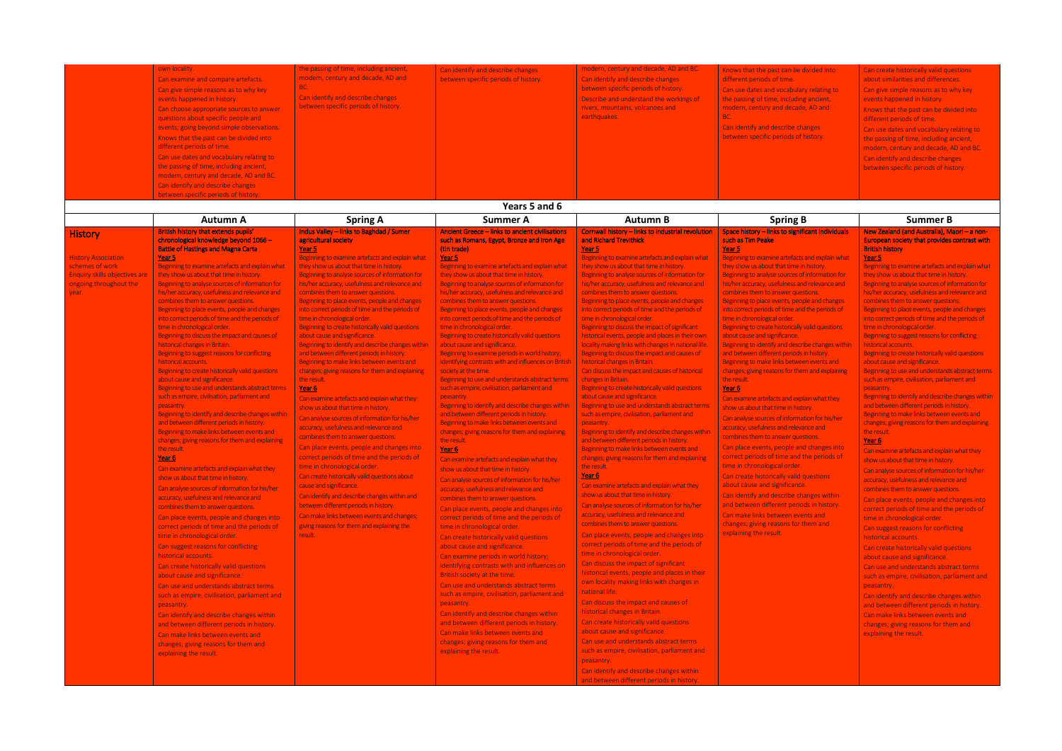| own locality.                                                                                                                                                                                                                    | Can examine and compare artefacts.<br>Can give simple reasons as to why key<br>events happened in history.<br>Can choose appropriate sources to answer<br>questions about specific people and<br>events; going beyond simple observations.<br>Knows that the past can be divided into<br>different periods of time.<br>Can use dates and vocabulary relating to<br>the passing of time, including ancient,<br>modern, century and decade, AD and BC.                                                                                                                                                                                                                                                                                                                                                                                                                                                                                                                                                                                                                                                                                                                                                                                                                                                                                                                                                                                                                                                                                                                                                                                                                                                                                                           | the passing of time, including ancient,<br>modern, century and decade, AD and<br>BC.<br>Can identify and describe changes<br>between specific periods of history.                                                                                                                                                                                                                                                                                                                                                                                                                                                                                                                                                                                                                                                                                                                                                                                                                                                                                                                                                                                                                                                                                                                                                                                                   | Can identify and describe changes<br>between specific periods of history.                                                                                                                                                                                                                                                                                                                                                                                                                                                                                                                                                                                                                                                                                                                                                                                                                                                                                                                                                                                                                                                                                                                                                                                                                                                                                                                                                                                                                                                                                                                                                                                                                                                                                                                                                                                                             | modern, century and decade, AD and BC.<br>Can identify and describe changes<br>between specific periods of history.<br>Describe and understand the workings of<br>rivers, mountains, volcanoes and<br>earthquakes.                                                                                                                                                                                                                                                                                                                                                                                                                                                                                                                                                                                                                                                                                                                                                                                                                                                                                                                                                                                                                                                                                                                                                                                                                                                                                                                                                                                                                                                                                                                                                                                                                                                                                                                                                                                                                              | Knows that the past can be divided into<br>different periods of time.<br>Can use dates and vocabulary relating to<br>the passing of time, including ancient,<br>modern, century and decade, AD and<br>BC.<br>Can identify and describe changes<br>between specific periods of history.                                                                                                                                                                                                                                                                                                                                                                                                                                                                                                                                                                                                                                                                                                                                                                                                                                                                                                                                                                                                                                                                    | Can create historically valid questions<br>about similarities and differences.<br>Can give simple reasons as to why key<br>events happened in history.<br>Knows that the past can be divided into<br>different periods of time.<br>Can use dates and vocabulary relating to<br>the passing of time, including ancient,<br>modern, century and decade, AD and BC.<br>Can identify and describe changes<br>between specific periods of history.                                                                                                                                                                                                                                                                                                                                                                                                                                                                                                                                                                                                                                                                                                                                                                                                                                                                                                                                                                                                                                                                                                                                                                                                                                                                                                                                  |
|----------------------------------------------------------------------------------------------------------------------------------------------------------------------------------------------------------------------------------|----------------------------------------------------------------------------------------------------------------------------------------------------------------------------------------------------------------------------------------------------------------------------------------------------------------------------------------------------------------------------------------------------------------------------------------------------------------------------------------------------------------------------------------------------------------------------------------------------------------------------------------------------------------------------------------------------------------------------------------------------------------------------------------------------------------------------------------------------------------------------------------------------------------------------------------------------------------------------------------------------------------------------------------------------------------------------------------------------------------------------------------------------------------------------------------------------------------------------------------------------------------------------------------------------------------------------------------------------------------------------------------------------------------------------------------------------------------------------------------------------------------------------------------------------------------------------------------------------------------------------------------------------------------------------------------------------------------------------------------------------------------|---------------------------------------------------------------------------------------------------------------------------------------------------------------------------------------------------------------------------------------------------------------------------------------------------------------------------------------------------------------------------------------------------------------------------------------------------------------------------------------------------------------------------------------------------------------------------------------------------------------------------------------------------------------------------------------------------------------------------------------------------------------------------------------------------------------------------------------------------------------------------------------------------------------------------------------------------------------------------------------------------------------------------------------------------------------------------------------------------------------------------------------------------------------------------------------------------------------------------------------------------------------------------------------------------------------------------------------------------------------------|---------------------------------------------------------------------------------------------------------------------------------------------------------------------------------------------------------------------------------------------------------------------------------------------------------------------------------------------------------------------------------------------------------------------------------------------------------------------------------------------------------------------------------------------------------------------------------------------------------------------------------------------------------------------------------------------------------------------------------------------------------------------------------------------------------------------------------------------------------------------------------------------------------------------------------------------------------------------------------------------------------------------------------------------------------------------------------------------------------------------------------------------------------------------------------------------------------------------------------------------------------------------------------------------------------------------------------------------------------------------------------------------------------------------------------------------------------------------------------------------------------------------------------------------------------------------------------------------------------------------------------------------------------------------------------------------------------------------------------------------------------------------------------------------------------------------------------------------------------------------------------------|-------------------------------------------------------------------------------------------------------------------------------------------------------------------------------------------------------------------------------------------------------------------------------------------------------------------------------------------------------------------------------------------------------------------------------------------------------------------------------------------------------------------------------------------------------------------------------------------------------------------------------------------------------------------------------------------------------------------------------------------------------------------------------------------------------------------------------------------------------------------------------------------------------------------------------------------------------------------------------------------------------------------------------------------------------------------------------------------------------------------------------------------------------------------------------------------------------------------------------------------------------------------------------------------------------------------------------------------------------------------------------------------------------------------------------------------------------------------------------------------------------------------------------------------------------------------------------------------------------------------------------------------------------------------------------------------------------------------------------------------------------------------------------------------------------------------------------------------------------------------------------------------------------------------------------------------------------------------------------------------------------------------------------------------------|-----------------------------------------------------------------------------------------------------------------------------------------------------------------------------------------------------------------------------------------------------------------------------------------------------------------------------------------------------------------------------------------------------------------------------------------------------------------------------------------------------------------------------------------------------------------------------------------------------------------------------------------------------------------------------------------------------------------------------------------------------------------------------------------------------------------------------------------------------------------------------------------------------------------------------------------------------------------------------------------------------------------------------------------------------------------------------------------------------------------------------------------------------------------------------------------------------------------------------------------------------------------------------------------------------------------------------------------------------------|--------------------------------------------------------------------------------------------------------------------------------------------------------------------------------------------------------------------------------------------------------------------------------------------------------------------------------------------------------------------------------------------------------------------------------------------------------------------------------------------------------------------------------------------------------------------------------------------------------------------------------------------------------------------------------------------------------------------------------------------------------------------------------------------------------------------------------------------------------------------------------------------------------------------------------------------------------------------------------------------------------------------------------------------------------------------------------------------------------------------------------------------------------------------------------------------------------------------------------------------------------------------------------------------------------------------------------------------------------------------------------------------------------------------------------------------------------------------------------------------------------------------------------------------------------------------------------------------------------------------------------------------------------------------------------------------------------------------------------------------------------------------------------|
|                                                                                                                                                                                                                                  | Can identify and describe changes<br>between specific periods of history                                                                                                                                                                                                                                                                                                                                                                                                                                                                                                                                                                                                                                                                                                                                                                                                                                                                                                                                                                                                                                                                                                                                                                                                                                                                                                                                                                                                                                                                                                                                                                                                                                                                                       |                                                                                                                                                                                                                                                                                                                                                                                                                                                                                                                                                                                                                                                                                                                                                                                                                                                                                                                                                                                                                                                                                                                                                                                                                                                                                                                                                                     |                                                                                                                                                                                                                                                                                                                                                                                                                                                                                                                                                                                                                                                                                                                                                                                                                                                                                                                                                                                                                                                                                                                                                                                                                                                                                                                                                                                                                                                                                                                                                                                                                                                                                                                                                                                                                                                                                       |                                                                                                                                                                                                                                                                                                                                                                                                                                                                                                                                                                                                                                                                                                                                                                                                                                                                                                                                                                                                                                                                                                                                                                                                                                                                                                                                                                                                                                                                                                                                                                                                                                                                                                                                                                                                                                                                                                                                                                                                                                                 |                                                                                                                                                                                                                                                                                                                                                                                                                                                                                                                                                                                                                                                                                                                                                                                                                                                                                                                                                                                                                                                                                                                                                                                                                                                                                                                                                           |                                                                                                                                                                                                                                                                                                                                                                                                                                                                                                                                                                                                                                                                                                                                                                                                                                                                                                                                                                                                                                                                                                                                                                                                                                                                                                                                                                                                                                                                                                                                                                                                                                                                                                                                                                                |
|                                                                                                                                                                                                                                  | <b>Autumn A</b>                                                                                                                                                                                                                                                                                                                                                                                                                                                                                                                                                                                                                                                                                                                                                                                                                                                                                                                                                                                                                                                                                                                                                                                                                                                                                                                                                                                                                                                                                                                                                                                                                                                                                                                                                | <b>Spring A</b>                                                                                                                                                                                                                                                                                                                                                                                                                                                                                                                                                                                                                                                                                                                                                                                                                                                                                                                                                                                                                                                                                                                                                                                                                                                                                                                                                     | Years 5 and 6<br><b>Summer A</b>                                                                                                                                                                                                                                                                                                                                                                                                                                                                                                                                                                                                                                                                                                                                                                                                                                                                                                                                                                                                                                                                                                                                                                                                                                                                                                                                                                                                                                                                                                                                                                                                                                                                                                                                                                                                                                                      | <b>Autumn B</b>                                                                                                                                                                                                                                                                                                                                                                                                                                                                                                                                                                                                                                                                                                                                                                                                                                                                                                                                                                                                                                                                                                                                                                                                                                                                                                                                                                                                                                                                                                                                                                                                                                                                                                                                                                                                                                                                                                                                                                                                                                 | <b>Spring B</b>                                                                                                                                                                                                                                                                                                                                                                                                                                                                                                                                                                                                                                                                                                                                                                                                                                                                                                                                                                                                                                                                                                                                                                                                                                                                                                                                           | <b>Summer B</b>                                                                                                                                                                                                                                                                                                                                                                                                                                                                                                                                                                                                                                                                                                                                                                                                                                                                                                                                                                                                                                                                                                                                                                                                                                                                                                                                                                                                                                                                                                                                                                                                                                                                                                                                                                |
| <b>History</b>                                                                                                                                                                                                                   | British history that extends pupils'                                                                                                                                                                                                                                                                                                                                                                                                                                                                                                                                                                                                                                                                                                                                                                                                                                                                                                                                                                                                                                                                                                                                                                                                                                                                                                                                                                                                                                                                                                                                                                                                                                                                                                                           | Indus Valley - links to Baghdad / Sumer                                                                                                                                                                                                                                                                                                                                                                                                                                                                                                                                                                                                                                                                                                                                                                                                                                                                                                                                                                                                                                                                                                                                                                                                                                                                                                                             | Ancient Greece - links to ancient civilisations                                                                                                                                                                                                                                                                                                                                                                                                                                                                                                                                                                                                                                                                                                                                                                                                                                                                                                                                                                                                                                                                                                                                                                                                                                                                                                                                                                                                                                                                                                                                                                                                                                                                                                                                                                                                                                       | Cornwall history - links to industrial revolution                                                                                                                                                                                                                                                                                                                                                                                                                                                                                                                                                                                                                                                                                                                                                                                                                                                                                                                                                                                                                                                                                                                                                                                                                                                                                                                                                                                                                                                                                                                                                                                                                                                                                                                                                                                                                                                                                                                                                                                               | Space history - links to significant individuals                                                                                                                                                                                                                                                                                                                                                                                                                                                                                                                                                                                                                                                                                                                                                                                                                                                                                                                                                                                                                                                                                                                                                                                                                                                                                                          | New Zealand (and Australia), Maori-a non-                                                                                                                                                                                                                                                                                                                                                                                                                                                                                                                                                                                                                                                                                                                                                                                                                                                                                                                                                                                                                                                                                                                                                                                                                                                                                                                                                                                                                                                                                                                                                                                                                                                                                                                                      |
| History Association<br>Year 5<br>schemes of work<br><b>Enquiry skills objectives are</b><br>ongoing throughout the<br>year.<br>historical accounts.<br>peasantry.<br>the result.<br>Year 6<br>historical accounts.<br>peasantry. | chronological knowledge beyond 1066 -<br><b>Battle of Hastings and Magna Carta</b><br>Beginning to examine artefacts and explain what<br>they show us about that time in history.<br>Beginning to analyse sources of information for<br>his/her accuracy, usefulness and relevance and<br>combines them to answer questions.<br>Beginning to place events, people and changes<br>into correct periods of time and the periods of<br>time in chronological order.<br>Beginning to discuss the impact and causes of<br>historical changes in Britain.<br>Beginning to suggest reasons for conflicting<br>Beginning to create historically valid questions<br>about cause and significance.<br>Beginning to use and understands abstract terms<br>such as empire, civilisation, parliament and<br>Beginning to identify and describe changes within<br>and between different periods in history.<br>Beginning to make links between events and<br>changes; giving reasons for them and explaining<br>Can examine artefacts and explain what they<br>show us about that time in history.<br>Can analyse sources of information for his/her<br>accuracy, usefulness and relevance and<br>combines them to answer questions.<br>Can place events, people and changes into<br>correct periods of time and the periods of<br>time in chronological order.<br>Can suggest reasons for conflicting<br>Can create historically valid questions<br>about cause and significance.<br>Can use and understands abstract terms<br>such as empire, civilisation, parliament and<br>Can identify and describe changes within<br>and between different periods in history.<br>Can make links between events and<br>changes; giving reasons for them and<br>explaining the result. | agricultural society<br>Year 5<br>Beginning to examine artefacts and explain what<br>they show us about that time in history.<br>Beginning to analyse sources of information for<br>his/her accuracy, usefulness and relevance and<br>combines them to answer questions.<br>Beginning to place events, people and changes<br>into correct periods of time and the periods of<br>time in chronological order.<br>Beginning to create historically valid questions<br>about cause and significance.<br>Beginning to identify and describe changes within<br>and between different periods in history.<br>Beginning to make links between events and<br>changes; giving reasons for them and explaining<br>the result.<br><u>Year 6</u><br>Can examine artefacts and explain what they<br>show us about that time in history.<br>Can analyse sources of information for his/her<br>accuracy, usefulness and relevance and<br>combines them to answer questions.<br>Can place events, people and changes into<br>correct periods of time and the periods of<br>time in chronological order.<br>Can create historically valid questions about<br>cause and significance.<br>Can identify and describe changes within and<br>between different periods in history.<br>Can make links between events and changes;<br>giving reasons for them and explaining the<br>result. | such as Romans, Egypt, Bronze and Iron Age<br>(tin trade)<br>Year 5<br>Beginning to examine artefacts and explain what<br>they show us about that time in history.<br>Beginning to analyse sources of information for<br>his/her accuracy, usefulness and relevance and<br>combines them to answer questions.<br>Beginning to place events, people and changes<br>into correct periods of time and the periods of<br>time in chronological order.<br>Beginning to create historically valid questions<br>about cause and significance.<br>Beginning to examine periods in world history;<br>identifying contrasts with and influences on British<br>society at the time.<br>Beginning to use and understands abstract terms<br>such as empire, civilisation, parliament and<br>peasantry.<br>Beginning to identify and describe changes within<br>and between different periods in history.<br>Beginning to make links between events and<br>changes; giving reasons for them and explaining<br>the result.<br>Year 6<br>Can examine artefacts and explain what they<br>show us about that time in history.<br>Can analyse sources of information for his/her<br>accuracy, usefulness and relevance and<br>combines them to answer questions.<br>Can place events, people and changes into<br>correct periods of time and the periods of<br>time in chronological order.<br>Can create historically valid questions<br>about cause and significance.<br>Can examine periods in world history;<br>identifying contrasts with and influences on<br>British society at the time.<br>Can use and understands abstract terms<br>such as empire, civilisation, parliament and<br>peasantry.<br>Can identify and describe changes within<br>and between different periods in history.<br>Can make links between events and<br>changes; giving reasons for them and<br>explaining the result. | and Richard Trevithick<br>Year 5<br>Beginning to examine artefacts and explain what<br>they show us about that time in history.<br>Beginning to analyse sources of information for<br>his/her accuracy, usefulness and relevance and<br>combines them to answer questions.<br>Beginning to place events, people and changes<br>into correct periods of time and the periods of<br>time in chronological order.<br>Beginning to discuss the impact of significant<br>historical events, people and places in their own<br>locality making links with changes in national life.<br>Beginning to discuss the impact and causes of<br>historical changes in Britain.<br>Can discuss the impact and causes of historical<br>changes in Britain.<br>Beginning to create historically valid questions<br>about cause and significance.<br>Beginning to use and understands abstract terms<br>such as empire, civilisation, parliament and<br>peasantry.<br>Beginning to identify and describe changes within<br>and between different periods in history.<br>Beginning to make links between events and<br>changes; giving reasons for them and explaining<br>the result.<br>Year 6<br>Can examine artefacts and explain what they<br>show us about that time in history.<br>Can analyse sources of information for his/her<br>accuracy, usefulness and relevance and<br>combines them to answer questions.<br>Can place events, people and changes into<br>correct periods of time and the periods of<br>time in chronological order.<br>Can discuss the impact of significant<br>historical events, people and places in their<br>own locality making links with changes in<br>national life.<br>Can discuss the impact and causes of<br>historical changes in Britain.<br>Can create historically valid questions<br>about cause and significance.<br>Can use and understands abstract terms<br>such as empire, civilisation, parliament and<br>peasantry.<br>Can identify and describe changes within<br>and between different periods in history. | such as Tim Peake<br>Year 5<br>Beginning to examine artefacts and explain what<br>they show us about that time in history.<br>Beginning to analyse sources of information for<br>his/her accuracy, usefulness and relevance and<br>combines them to answer questions.<br>Beginning to place events, people and changes<br>into correct periods of time and the periods of<br>time in chronological order.<br>Beginning to create historically valid questions<br>about cause and significance.<br>Beginning to identify and describe changes within<br>and between different periods in history.<br>Beginning to make links between events and<br>changes; giving reasons for them and explaining<br>the result.<br>Year 6<br>Can examine artefacts and explain what they<br>show us about that time in history.<br>Can analyse sources of information for his/her<br>accuracy, usefulness and relevance and<br>combines them to answer questions.<br>Can place events, people and changes into<br>correct periods of time and the periods of<br>time in chronological order.<br>Can create historically valid questions<br>about cause and significance.<br>Can identify and describe changes within<br>and between different periods in history.<br>Can make links between events and<br>changes; giving reasons for them and<br>explaining the result. | European society that provides contrast with<br><b>British history</b><br>Year 5<br>Beginning to examine artefacts and explain what<br>they show us about that time in history.<br>Beginning to analyse sources of information for<br>his/her accuracy, usefulness and relevance and<br>combines them to answer questions.<br>Beginning to place events, people and changes<br>into correct periods of time and the periods of<br>time in chronological order.<br>Beginning to suggest reasons for conflicting<br>historical accounts.<br>Beginning to create historically valid questions<br>about cause and significance.<br>Beginning to use and understands abstract terms<br>such as empire, civilisation, parliament and<br>peasantry.<br>Beginning to identify and describe changes within<br>and between different periods in history.<br>Beginning to make links between events and<br>changes; giving reasons for them and explaining<br>the result.<br>Year 6<br>Can examine artefacts and explain what they<br>show us about that time in history.<br>Can analyse sources of information for his/her<br>accuracy, usefulness and relevance and<br>combines them to answer questions.<br>Can place events, people and changes into<br>correct periods of time and the periods of<br>time in chronological order.<br>Can suggest reasons for conflicting<br>historical accounts.<br>Can create historically valid questions<br>about cause and significance.<br>Can use and understands abstract terms<br>such as empire, civilisation, parliament and<br>peasantry.<br>Can identify and describe changes within<br>and between different periods in history.<br>Can make links between events and<br>changes; giving reasons for them and<br>explaining the result. |